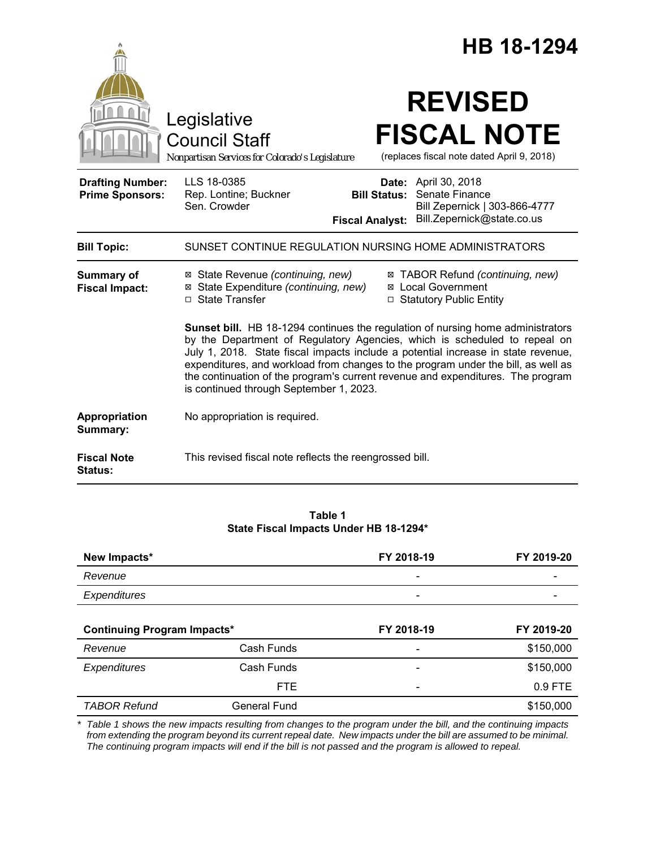|                                                   |                                                                                                                                                                                                                                                                                                                                                                                                                                                                      |                                                        | <b>HB 18-1294</b>                                                                               |  |
|---------------------------------------------------|----------------------------------------------------------------------------------------------------------------------------------------------------------------------------------------------------------------------------------------------------------------------------------------------------------------------------------------------------------------------------------------------------------------------------------------------------------------------|--------------------------------------------------------|-------------------------------------------------------------------------------------------------|--|
|                                                   | Legislative<br><b>Council Staff</b><br>Nonpartisan Services for Colorado's Legislature                                                                                                                                                                                                                                                                                                                                                                               |                                                        | <b>REVISED</b><br><b>FISCAL NOTE</b><br>(replaces fiscal note dated April 9, 2018)              |  |
| <b>Drafting Number:</b><br><b>Prime Sponsors:</b> | LLS 18-0385<br>Rep. Lontine; Buckner<br>Sen. Crowder                                                                                                                                                                                                                                                                                                                                                                                                                 | Date:<br><b>Bill Status:</b><br><b>Fiscal Analyst:</b> | April 30, 2018<br>Senate Finance<br>Bill Zepernick   303-866-4777<br>Bill.Zepernick@state.co.us |  |
| <b>Bill Topic:</b>                                | SUNSET CONTINUE REGULATION NURSING HOME ADMINISTRATORS                                                                                                                                                                                                                                                                                                                                                                                                               |                                                        |                                                                                                 |  |
| <b>Summary of</b><br><b>Fiscal Impact:</b>        | ⊠ State Revenue (continuing, new)<br>⊠ State Expenditure (continuing, new)<br>$\Box$ State Transfer                                                                                                                                                                                                                                                                                                                                                                  |                                                        | ⊠ TABOR Refund (continuing, new)<br>⊠ Local Government<br>□ Statutory Public Entity             |  |
|                                                   | Sunset bill. HB 18-1294 continues the regulation of nursing home administrators<br>by the Department of Regulatory Agencies, which is scheduled to repeal on<br>July 1, 2018. State fiscal impacts include a potential increase in state revenue,<br>expenditures, and workload from changes to the program under the bill, as well as<br>the continuation of the program's current revenue and expenditures. The program<br>is continued through September 1, 2023. |                                                        |                                                                                                 |  |
| Appropriation<br>Summary:                         | No appropriation is required.                                                                                                                                                                                                                                                                                                                                                                                                                                        |                                                        |                                                                                                 |  |
| <b>Fiscal Note</b><br><b>Status:</b>              | This revised fiscal note reflects the reengrossed bill.                                                                                                                                                                                                                                                                                                                                                                                                              |                                                        |                                                                                                 |  |

**Table 1 State Fiscal Impacts Under HB 18-1294\***

| New Impacts*                       |                     | FY 2018-19 | FY 2019-20 |
|------------------------------------|---------------------|------------|------------|
| Revenue                            |                     |            |            |
| Expenditures                       |                     |            |            |
|                                    |                     |            |            |
| <b>Continuing Program Impacts*</b> |                     | FY 2018-19 | FY 2019-20 |
| Revenue                            | Cash Funds          |            | \$150,000  |
| Expenditures                       | Cash Funds          |            | \$150,000  |
|                                    | <b>FTE</b>          |            | 0.9 FTE    |
| <b>TABOR Refund</b>                | <b>General Fund</b> |            | \$150,000  |

*\* Table 1 shows the new impacts resulting from changes to the program under the bill, and the continuing impacts from extending the program beyond its current repeal date. New impacts under the bill are assumed to be minimal. The continuing program impacts will end if the bill is not passed and the program is allowed to repeal.*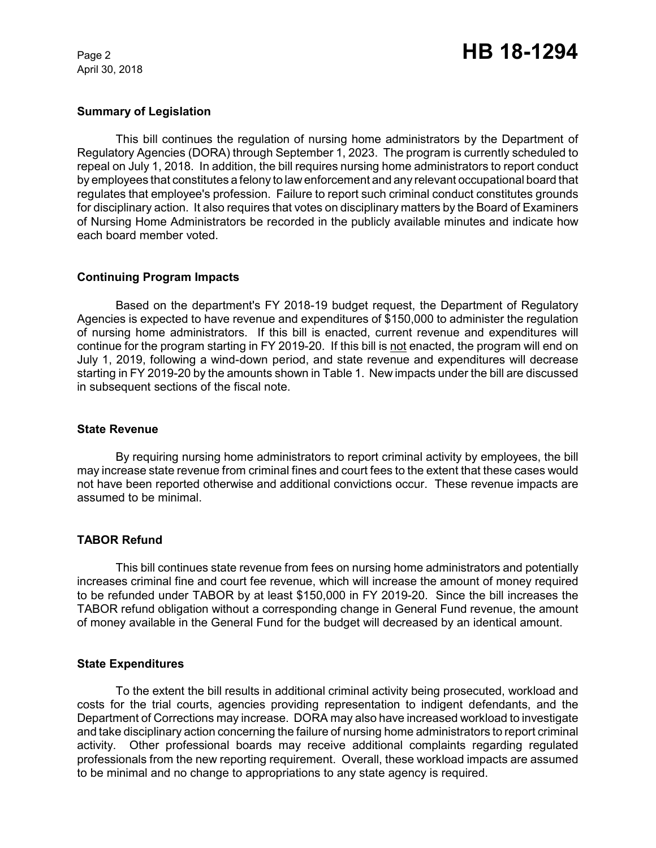April 30, 2018

### **Summary of Legislation**

This bill continues the regulation of nursing home administrators by the Department of Regulatory Agencies (DORA) through September 1, 2023. The program is currently scheduled to repeal on July 1, 2018. In addition, the bill requires nursing home administrators to report conduct by employees that constitutes a felony to law enforcement and any relevant occupational board that regulates that employee's profession. Failure to report such criminal conduct constitutes grounds for disciplinary action.It also requires that votes on disciplinary matters by the Board of Examiners of Nursing Home Administrators be recorded in the publicly available minutes and indicate how each board member voted.

## **Continuing Program Impacts**

Based on the department's FY 2018-19 budget request, the Department of Regulatory Agencies is expected to have revenue and expenditures of \$150,000 to administer the regulation of nursing home administrators. If this bill is enacted, current revenue and expenditures will continue for the program starting in FY 2019-20. If this bill is not enacted, the program will end on July 1, 2019, following a wind-down period, and state revenue and expenditures will decrease starting in FY 2019-20 by the amounts shown in Table 1. New impacts under the bill are discussed in subsequent sections of the fiscal note.

### **State Revenue**

By requiring nursing home administrators to report criminal activity by employees, the bill may increase state revenue from criminal fines and court fees to the extent that these cases would not have been reported otherwise and additional convictions occur. These revenue impacts are assumed to be minimal.

### **TABOR Refund**

This bill continues state revenue from fees on nursing home administrators and potentially increases criminal fine and court fee revenue, which will increase the amount of money required to be refunded under TABOR by at least \$150,000 in FY 2019-20. Since the bill increases the TABOR refund obligation without a corresponding change in General Fund revenue, the amount of money available in the General Fund for the budget will decreased by an identical amount.

### **State Expenditures**

To the extent the bill results in additional criminal activity being prosecuted, workload and costs for the trial courts, agencies providing representation to indigent defendants, and the Department of Corrections may increase. DORA may also have increased workload to investigate and take disciplinary action concerning the failure of nursing home administrators to report criminal activity. Other professional boards may receive additional complaints regarding regulated professionals from the new reporting requirement. Overall, these workload impacts are assumed to be minimal and no change to appropriations to any state agency is required.